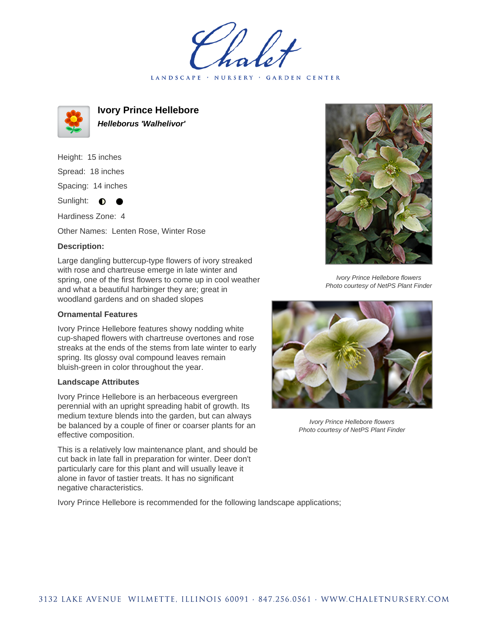LANDSCAPE · NURSERY · GARDEN CENTER



**Ivory Prince Hellebore Helleborus 'Walhelivor'**

Height: 15 inches Spread: 18 inches Spacing: 14 inches

Sunlight:  $\bullet$  $\bullet$ 

Hardiness Zone: 4

Other Names: Lenten Rose, Winter Rose

## **Description:**

Large dangling buttercup-type flowers of ivory streaked with rose and chartreuse emerge in late winter and spring, one of the first flowers to come up in cool weather and what a beautiful harbinger they are; great in woodland gardens and on shaded slopes

## **Ornamental Features**

Ivory Prince Hellebore features showy nodding white cup-shaped flowers with chartreuse overtones and rose streaks at the ends of the stems from late winter to early spring. Its glossy oval compound leaves remain bluish-green in color throughout the year.

## **Landscape Attributes**

Ivory Prince Hellebore is an herbaceous evergreen perennial with an upright spreading habit of growth. Its medium texture blends into the garden, but can always be balanced by a couple of finer or coarser plants for an effective composition.

This is a relatively low maintenance plant, and should be cut back in late fall in preparation for winter. Deer don't particularly care for this plant and will usually leave it alone in favor of tastier treats. It has no significant negative characteristics.

Ivory Prince Hellebore is recommended for the following landscape applications;



Ivory Prince Hellebore flowers Photo courtesy of NetPS Plant Finder



Ivory Prince Hellebore flowers Photo courtesy of NetPS Plant Finder